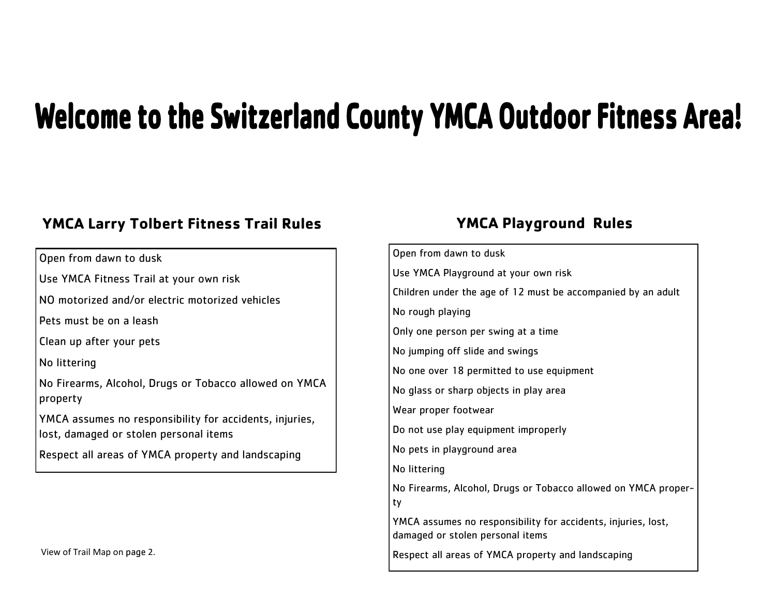## **Welcome to the Switzerland County YMCA Outdoor Fitness Area!**

## **YMCA Larry Tolbert Fitness Trail Rules YMCA Playground Rules**

Open from dawn to dusk

Use YMCA Fitness Trail at your own risk

NO motorized and/or electric motorized vehicles

Pets must be on a leash

Clean up after your pets

No littering

No Firearms, Alcohol, Drugs or Tobacco allowed on YMCA property

YMCA assumes no responsibility for accidents, injuries, lost, damaged or stolen personal items

Respect all areas of YMCA property and landscaping

| Open from dawn to dusk                                                                            |
|---------------------------------------------------------------------------------------------------|
| Use YMCA Playground at your own risk                                                              |
| Children under the age of 12 must be accompanied by an adult                                      |
| No rough playing                                                                                  |
| Only one person per swing at a time                                                               |
| No jumping off slide and swings                                                                   |
| No one over 18 permitted to use equipment                                                         |
| No glass or sharp objects in play area                                                            |
| Wear proper footwear                                                                              |
| Do not use play equipment improperly                                                              |
| No pets in playground area                                                                        |
| No littering                                                                                      |
| No Firearms, Alcohol, Drugs or Tobacco allowed on YMCA proper-<br>ty                              |
| YMCA assumes no responsibility for accidents, injuries, lost,<br>damaged or stolen personal items |
| Respect all areas of YMCA property and landscaping                                                |